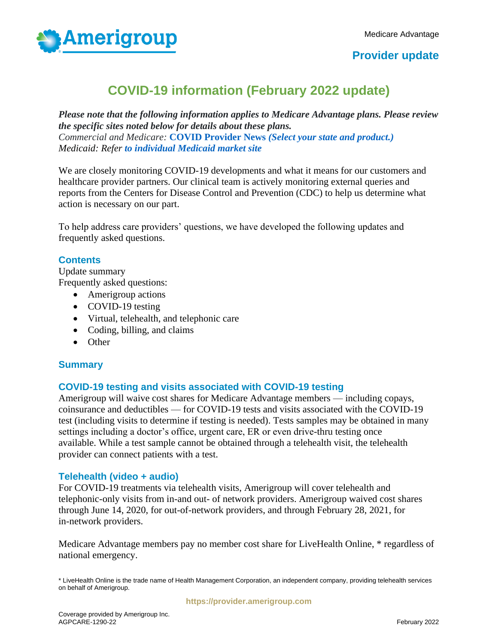

## **Provider update**

# **COVID-19 information (February 2022 update)**

*Please note that the following information applies to Medicare Advantage plans. Please review the specific sites noted below for details about these plans. Commercial and Medicare:* **[COVID Provider News](https://www.anthem.com/coronavirus/providers/)** *(Select your state and product.) Medicaid: Refer to individual Medicaid market site*

We are closely monitoring COVID-19 developments and what it means for our customers and healthcare provider partners. Our clinical team is actively monitoring external queries and reports from the Centers for Disease Control and Prevention (CDC) to help us determine what action is necessary on our part.

To help address care providers' questions, we have developed the following updates and frequently asked questions.

## **Contents**

Update summary Frequently asked questions:

- Amerigroup actions
- COVID-19 testing
- Virtual, telehealth, and telephonic care
- Coding, billing, and claims
- Other

## **Summary**

#### **COVID-19 testing and visits associated with COVID-19 testing**

Amerigroup will waive cost shares for Medicare Advantage members — including copays, coinsurance and deductibles — for COVID-19 tests and visits associated with the COVID-19 test (including visits to determine if testing is needed). Tests samples may be obtained in many settings including a doctor's office, urgent care, ER or even drive-thru testing once available. While a test sample cannot be obtained through a telehealth visit, the telehealth provider can connect patients with a test.

#### **Telehealth (video + audio)**

For COVID-19 treatments via telehealth visits, Amerigroup will cover telehealth and telephonic-only visits from in-and out- of network providers. Amerigroup waived cost shares through June 14, 2020, for out-of-network providers, and through February 28, 2021, for in-network providers.

Medicare Advantage members pay no member cost share for LiveHealth Online, \* regardless of national emergency.

\* LiveHealth Online is the trade name of Health Management Corporation, an independent company, providing telehealth services on behalf of Amerigroup.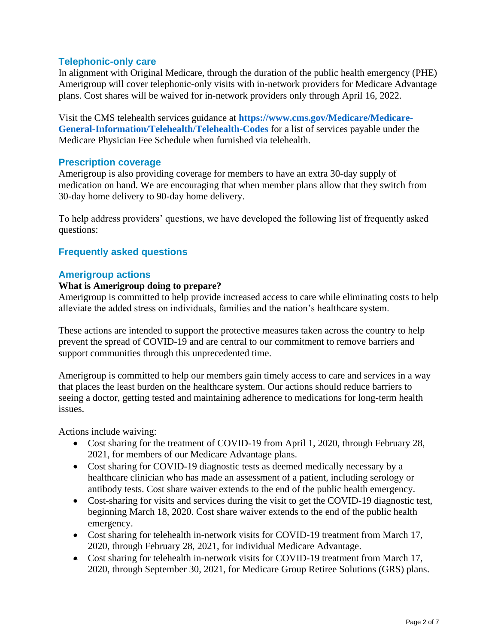## **Telephonic-only care**

In alignment with Original Medicare, through the duration of the public health emergency (PHE) Amerigroup will cover telephonic-only visits with in-network providers for Medicare Advantage plans. Cost shares will be waived for in-network providers only through April 16, 2022.

Visit the CMS telehealth services guidance at **[https://www.cms.gov/Medicare/Medicare-](https://www.cms.gov/Medicare/Medicare-General-Information/Telehealth/Telehealth-Codes)[General-Information/Telehealth/Telehealth-Codes](https://www.cms.gov/Medicare/Medicare-General-Information/Telehealth/Telehealth-Codes)** for a list of services payable under the Medicare Physician Fee Schedule when furnished via telehealth.

## **Prescription coverage**

Amerigroup is also providing coverage for members to have an extra 30-day supply of medication on hand. We are encouraging that when member plans allow that they switch from 30-day home delivery to 90-day home delivery.

To help address providers' questions, we have developed the following list of frequently asked questions:

## **Frequently asked questions**

## **Amerigroup actions**

#### **What is Amerigroup doing to prepare?**

Amerigroup is committed to help provide increased access to care while eliminating costs to help alleviate the added stress on individuals, families and the nation's healthcare system.

These actions are intended to support the protective measures taken across the country to help prevent the spread of COVID-19 and are central to our commitment to remove barriers and support communities through this unprecedented time.

Amerigroup is committed to help our members gain timely access to care and services in a way that places the least burden on the healthcare system. Our actions should reduce barriers to seeing a doctor, getting tested and maintaining adherence to medications for long-term health issues.

Actions include waiving:

- Cost sharing for the treatment of COVID-19 from April 1, 2020, through February 28, 2021, for members of our Medicare Advantage plans.
- Cost sharing for COVID-19 diagnostic tests as deemed medically necessary by a healthcare clinician who has made an assessment of a patient, including serology or antibody tests. Cost share waiver extends to the end of the public health emergency.
- Cost-sharing for visits and services during the visit to get the COVID-19 diagnostic test, beginning March 18, 2020. Cost share waiver extends to the end of the public health emergency.
- Cost sharing for telehealth in-network visits for COVID-19 treatment from March 17, 2020, through February 28, 2021, for individual Medicare Advantage.
- Cost sharing for telehealth in-network visits for COVID-19 treatment from March 17, 2020, through September 30, 2021, for Medicare Group Retiree Solutions (GRS) plans.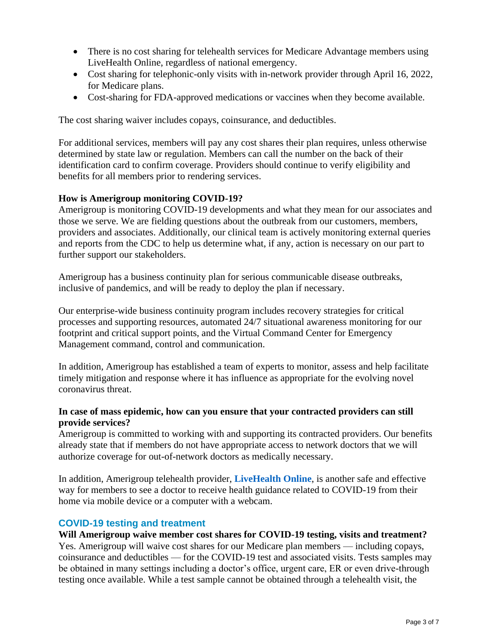- There is no cost sharing for telehealth services for Medicare Advantage members using LiveHealth Online, regardless of national emergency.
- Cost sharing for telephonic-only visits with in-network provider through April 16, 2022, for Medicare plans.
- Cost-sharing for FDA-approved medications or vaccines when they become available.

The cost sharing waiver includes copays, coinsurance, and deductibles.

For additional services, members will pay any cost shares their plan requires, unless otherwise determined by state law or regulation. Members can call the number on the back of their identification card to confirm coverage. Providers should continue to verify eligibility and benefits for all members prior to rendering services.

#### **How is Amerigroup monitoring COVID-19?**

Amerigroup is monitoring COVID-19 developments and what they mean for our associates and those we serve. We are fielding questions about the outbreak from our customers, members, providers and associates. Additionally, our clinical team is actively monitoring external queries and reports from the CDC to help us determine what, if any, action is necessary on our part to further support our stakeholders.

Amerigroup has a business continuity plan for serious communicable disease outbreaks, inclusive of pandemics, and will be ready to deploy the plan if necessary.

Our enterprise-wide business continuity program includes recovery strategies for critical processes and supporting resources, automated 24/7 situational awareness monitoring for our footprint and critical support points, and the Virtual Command Center for Emergency Management command, control and communication.

In addition, Amerigroup has established a team of experts to monitor, assess and help facilitate timely mitigation and response where it has influence as appropriate for the evolving novel coronavirus threat.

#### **In case of mass epidemic, how can you ensure that your contracted providers can still provide services?**

Amerigroup is committed to working with and supporting its contracted providers. Our benefits already state that if members do not have appropriate access to network doctors that we will authorize coverage for out-of-network doctors as medically necessary.

In addition, Amerigroup telehealth provider, **[LiveHealth Online](http://www.livehealthonline.com/)**, is another safe and effective way for members to see a doctor to receive health guidance related to COVID-19 from their home via mobile device or a computer with a webcam.

#### **COVID-19 testing and treatment**

#### **Will Amerigroup waive member cost shares for COVID-19 testing, visits and treatment?**

Yes. Amerigroup will waive cost shares for our Medicare plan members — including copays, coinsurance and deductibles — for the COVID-19 test and associated visits. Tests samples may be obtained in many settings including a doctor's office, urgent care, ER or even drive-through testing once available. While a test sample cannot be obtained through a telehealth visit, the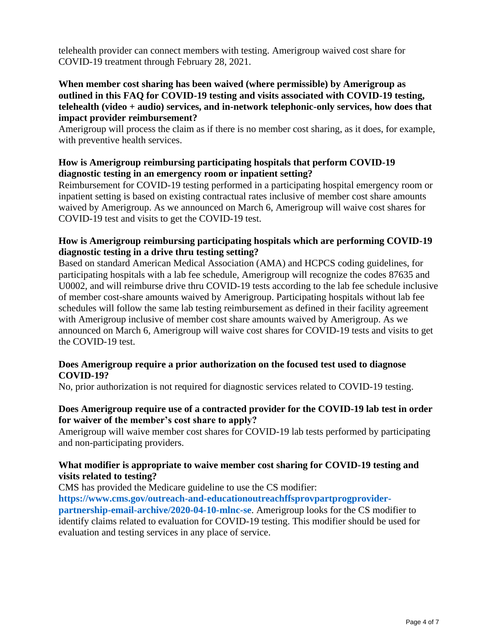telehealth provider can connect members with testing. Amerigroup waived cost share for COVID-19 treatment through February 28, 2021.

#### **When member cost sharing has been waived (where permissible) by Amerigroup as outlined in this FAQ for COVID-19 testing and visits associated with COVID-19 testing, telehealth (video + audio) services, and in-network telephonic-only services, how does that impact provider reimbursement?**

Amerigroup will process the claim as if there is no member cost sharing, as it does, for example, with preventive health services.

## **How is Amerigroup reimbursing participating hospitals that perform COVID-19 diagnostic testing in an emergency room or inpatient setting?**

Reimbursement for COVID-19 testing performed in a participating hospital emergency room or inpatient setting is based on existing contractual rates inclusive of member cost share amounts waived by Amerigroup. As we announced on March 6, Amerigroup will waive cost shares for COVID-19 test and visits to get the COVID-19 test.

## **How is Amerigroup reimbursing participating hospitals which are performing COVID-19 diagnostic testing in a drive thru testing setting?**

Based on standard American Medical Association (AMA) and HCPCS coding guidelines, for participating hospitals with a lab fee schedule, Amerigroup will recognize the codes 87635 and U0002, and will reimburse drive thru COVID-19 tests according to the lab fee schedule inclusive of member cost-share amounts waived by Amerigroup. Participating hospitals without lab fee schedules will follow the same lab testing reimbursement as defined in their facility agreement with Amerigroup inclusive of member cost share amounts waived by Amerigroup. As we announced on March 6, Amerigroup will waive cost shares for COVID-19 tests and visits to get the COVID-19 test.

## **Does Amerigroup require a prior authorization on the focused test used to diagnose COVID-19?**

No, prior authorization is not required for diagnostic services related to COVID-19 testing.

#### **Does Amerigroup require use of a contracted provider for the COVID-19 lab test in order for waiver of the member's cost share to apply?**

Amerigroup will waive member cost shares for COVID-19 lab tests performed by participating and non-participating providers.

#### **What modifier is appropriate to waive member cost sharing for COVID-19 testing and visits related to testing?**

CMS has provided the Medicare guideline to use the CS modifier:

**[https://www.cms.gov/outreach-and-educationoutreachffsprovpartprogprovider](https://www.cms.gov/outreach-and-educationoutreachffsprovpartprogprovider-partnership-email-archive/2020-04-10-mlnc-se)[partnership-email-archive/2020-04-10-mlnc-se](https://www.cms.gov/outreach-and-educationoutreachffsprovpartprogprovider-partnership-email-archive/2020-04-10-mlnc-se)**. Amerigroup looks for the CS modifier to identify claims related to evaluation for COVID-19 testing. This modifier should be used for evaluation and testing services in any place of service.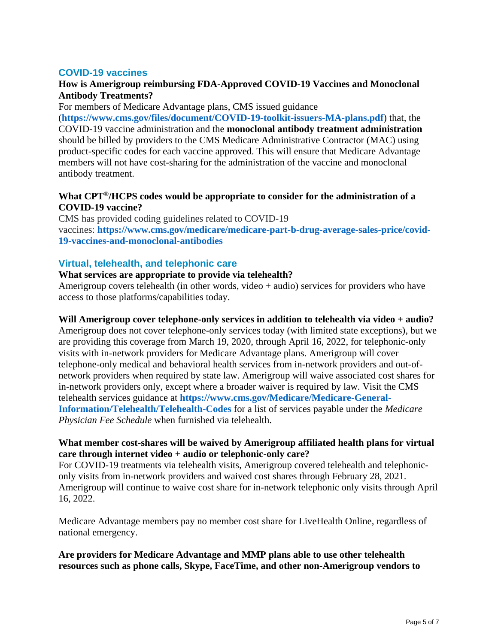## **COVID-19 vaccines**

## **How is Amerigroup reimbursing FDA-Approved COVID-19 Vaccines and Monoclonal Antibody Treatments?**

For members of Medicare Advantage plans, CMS issued guidance

(**<https://www.cms.gov/files/document/COVID-19-toolkit-issuers-MA-plans.pdf>**) that, the COVID-19 vaccine administration and the **monoclonal antibody treatment administration** should be billed by providers to the CMS Medicare Administrative Contractor (MAC) using product-specific codes for each vaccine approved. This will ensure that Medicare Advantage members will not have cost-sharing for the administration of the vaccine and monoclonal antibody treatment.

## **What CPT®/HCPS codes would be appropriate to consider for the administration of a COVID-19 vaccine?**

CMS has provided coding guidelines related to COVID-19 vaccines: **[https://www.cms.gov/medicare/medicare-part-b-drug-average-sales-price/covid-](https://www.cms.gov/medicare/medicare-part-b-drug-average-sales-price/covid-19-vaccines-and-monoclonal-antibodies)[19-vaccines-and-monoclonal-antibodies](https://www.cms.gov/medicare/medicare-part-b-drug-average-sales-price/covid-19-vaccines-and-monoclonal-antibodies)**

#### **Virtual, telehealth, and telephonic care**

#### **What services are appropriate to provide via telehealth?**

Amerigroup covers telehealth (in other words, video + audio) services for providers who have access to those platforms/capabilities today.

#### **Will Amerigroup cover telephone-only services in addition to telehealth via video + audio?**

Amerigroup does not cover telephone-only services today (with limited state exceptions), but we are providing this coverage from March 19, 2020, through April 16, 2022, for telephonic-only visits with in-network providers for Medicare Advantage plans. Amerigroup will cover telephone-only medical and behavioral health services from in-network providers and out-ofnetwork providers when required by state law. Amerigroup will waive associated cost shares for in-network providers only, except where a broader waiver is required by law. Visit the CMS telehealth services guidance at **[https://www.cms.gov/Medicare/Medicare-General-](https://www.cms.gov/Medicare/Medicare-General-Information/Telehealth/Telehealth-Codes)[Information/Telehealth/Telehealth-Codes](https://www.cms.gov/Medicare/Medicare-General-Information/Telehealth/Telehealth-Codes)** for a list of services payable under the *Medicare Physician Fee Schedule* when furnished via telehealth.

#### **What member cost-shares will be waived by Amerigroup affiliated health plans for virtual care through internet video + audio or telephonic-only care?**

For COVID-19 treatments via telehealth visits, Amerigroup covered telehealth and telephoniconly visits from in-network providers and waived cost shares through February 28, 2021. Amerigroup will continue to waive cost share for in-network telephonic only visits through April 16, 2022.

Medicare Advantage members pay no member cost share for LiveHealth Online, regardless of national emergency.

#### **Are providers for Medicare Advantage and MMP plans able to use other telehealth resources such as phone calls, Skype, FaceTime, and other non-Amerigroup vendors to**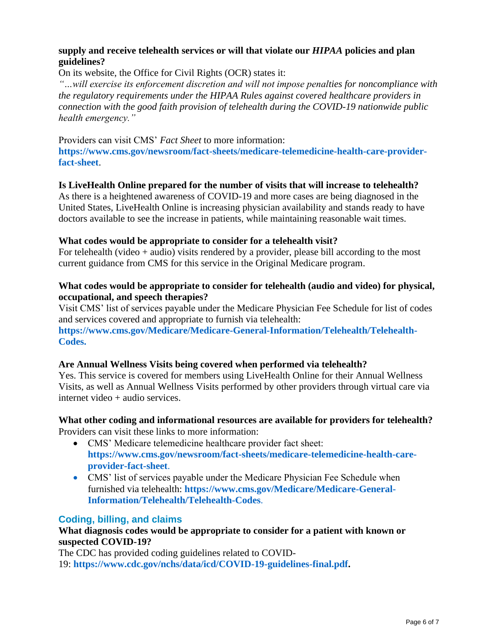## **supply and receive telehealth services or will that violate our** *HIPAA* **policies and plan guidelines?**

On its website, the Office for Civil Rights (OCR) states it:

*"…will exercise its enforcement discretion and will not impose penalties for noncompliance with the regulatory requirements under the HIPAA Rules against covered healthcare providers in connection with the good faith provision of telehealth during the COVID-19 nationwide public health emergency."*

Providers can visit CMS' *Fact Sheet* to more information: **[https://www.cms.gov/newsroom/fact-sheets/medicare-telemedicine-health-care-provider](https://www.cms.gov/newsroom/fact-sheets/medicare-telemedicine-health-care-provider-fact-sheet)[fact-sheet](https://www.cms.gov/newsroom/fact-sheets/medicare-telemedicine-health-care-provider-fact-sheet)**.

#### **Is LiveHealth Online prepared for the number of visits that will increase to telehealth?**

As there is a heightened awareness of COVID-19 and more cases are being diagnosed in the United States, LiveHealth Online is increasing physician availability and stands ready to have doctors available to see the increase in patients, while maintaining reasonable wait times.

#### **What codes would be appropriate to consider for a telehealth visit?**

For telehealth (video  $+$  audio) visits rendered by a provider, please bill according to the most current guidance from CMS for this service in the Original Medicare program.

## **What codes would be appropriate to consider for telehealth (audio and video) for physical, occupational, and speech therapies?**

Visit CMS' list of services payable under the Medicare Physician Fee Schedule for list of codes and services covered and appropriate to furnish via telehealth:

**[https://www.cms.gov/Medicare/Medicare-General-Information/Telehealth/Telehealth-](https://www.cms.gov/Medicare/Medicare-General-Information/Telehealth/Telehealth-Codes)[Codes.](https://www.cms.gov/Medicare/Medicare-General-Information/Telehealth/Telehealth-Codes)**

#### **Are Annual Wellness Visits being covered when performed via telehealth?**

Yes. This service is covered for members using LiveHealth Online for their Annual Wellness Visits, as well as Annual Wellness Visits performed by other providers through virtual care via internet video + audio services.

## **What other coding and informational resources are available for providers for telehealth?**  Providers can visit these links to more information:

- CMS' Medicare telemedicine healthcare provider fact sheet: **[https://www.cms.gov/newsroom/fact-sheets/medicare-telemedicine-health-care](https://www.cms.gov/newsroom/fact-sheets/medicare-telemedicine-health-care-provider-fact-sheet)[provider-fact-sheet](https://www.cms.gov/newsroom/fact-sheets/medicare-telemedicine-health-care-provider-fact-sheet)**.
- CMS' list of services payable under the Medicare Physician Fee Schedule when furnished via telehealth: **[https://www.cms.gov/Medicare/Medicare-General-](https://www.cms.gov/Medicare/Medicare-General-Information/Telehealth/Telehealth-Codes)[Information/Telehealth/Telehealth-Codes](https://www.cms.gov/Medicare/Medicare-General-Information/Telehealth/Telehealth-Codes)**.

## **Coding, billing, and claims**

## **What diagnosis codes would be appropriate to consider for a patient with known or suspected COVID-19?**

The CDC has provided coding guidelines related to COVID-19: **[https://www.cdc.gov/nchs/data/icd/COVID-19-guidelines-final.pdf.](https://www.cdc.gov/nchs/data/icd/COVID-19-guidelines-final.pdf)**